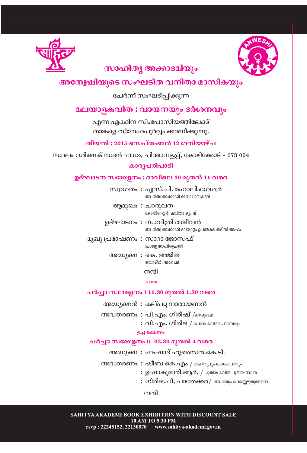



# സാഹിത്യ അക്കാദമിയും

## അന്വേഷിയുടെ സംഘടിത വനിതാ മാസികയും

ചേർന്ന് സംഘടിപ്പിക്കുന്ന

### മലയാളകവിത : വായനയും ദർശനവും

എന്ന ഏകദിന സിംപോസിയത്തിലേക്ക് താങ്കളെ സ്നേഹപൂർവ്വം ക്ഷണിക്കുന്നു.

തീയതി : 2015 സെപ്തംബർ 12 ശനിയാഴ്ച

സ്ഥലം : ശിക്ഷക് സദൻ ഹാ $\infty$ , ചിന്താവളപ്പ്, കോഴിക്കോട് - 673 004

കാരൃപരിപാടി

### ഉദ്ഘാടന സമ്മേളനം : രാവിലെ 10 മുതൽ 11 വരെ

സ്വാഗതം: എസ്.പി. മഹാലിംഗേശ്വർ സാഹിത്യ അക്കാദമി മേഖല സെക്രട്ടറി

- ആമുഖം : ചാരുലത കോഡിനേറ്റർ, കവിതാ ക്യാമ്പ്
- ഉദ്ഘാടനം : സാവിത്രി രാജീവൻ സാഹിത്യ അക്കാദമി മലയാളം ഉപദേശക സമിതി അംഗം
- മുഖ്യ പ്രഭാഷണം : സാറാ ജോസഫ് പ്രശസ്സ സാഹിത്യകാരി
	- അദ്ധ്യക്ഷ : കെ. അജിത <u>wwoക്ടർ, അനേഷി</u>

നന്ദി

 $0.1000$ 

#### ചർച്ചാ സമ്മേളനം I 11.30 മുതൽ 1.30 വരെ

- അദ്ധ്യക്ഷൻ : കല്പറ്റ നാരായണൻ
- അവതരണം : പി.എം. ഗിരീഷ് /കാവൃദാഷ
	- $:$  വി.എം. ഗിരിജ / പെൺ കവിതാ പാരമ്പരും

ഉച്ച ക്ഷേണം

#### ചർച്ചാ സമ്മേളനം II 02.30 മുതൽ 4 വരെ

അദ്ധ്യക്ഷ : ഷംഷാദ് ഹുസൈൻ.കെ.ടി.

അവതരണം: ഷീബ കെ.എം /യഹിത്യവും ലിംഗപദവിയും

- : **ഉഷാകുമാരി.ആർ.** / പുതിയ കവിത പുതിയ ഭാവന
- : ഗിരിജ.പി, പാതേക്കര/ അഹിത്യം പെണ്ണെഴുതുമ്പോറാ

നന്ദി

SAHITYA AKADEMI BOOK EXHIBITION WITH DISCOUNT SALE 10 AM TO 5.30 PM rsvp: 22245152, 22130870 www.sahitya-akademi.gov.in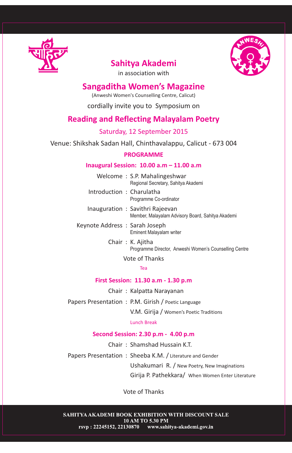

# **Sahitya Akademi**



in association with

### **Sangaditha Women's Magazine**

(Anweshi Women's Counselling Centre, Calicut)

cordially invite you to Symposium on

### **Reading and Reflecting Malayalam Poetry**

### Saturday, 12 September 2015

Venue: Shikshak Sadan Hall, Chinthavalappu, Calicut - 673 004

#### **PROGRAMME**

#### **Inaugural Session: 10.00 a.m – 11.00 a.m**

Welcome : S.P. Mahalingeshwar Regional Secretary, Sahitya Akademi

Introduction : Charulatha Programme Co-ordinator

- Inauguration : Savithri Rajeevan Member, Malayalam Advisory Board, Sahitya Akademi
- Keynote Address : Sarah Joseph Eminent Malayalam writer
	- Chair : K. Ajitha Programme Director, Anweshi Women's Counselling Centre

Vote of Thanks

#### Tea

#### **First Session: 11.30 a.m - 1.30 p.m**

Chair : Kalpatta Narayanan

Papers Presentation : P.M. Girish / Poetic Language

V.M. Girija / Women's Poetic Traditions

Lunch Break

#### **Second Session: 2.30 p.m - 4.00 p.m**

Chair : Shamshad Hussain K.T.

Papers Presentation : Sheeba K.M. / Literature and Gender

Ushakumari R. / New Poetry, New Imaginations

Girija P. Pathekkara/ When Women Enter Literature

Vote of Thanks